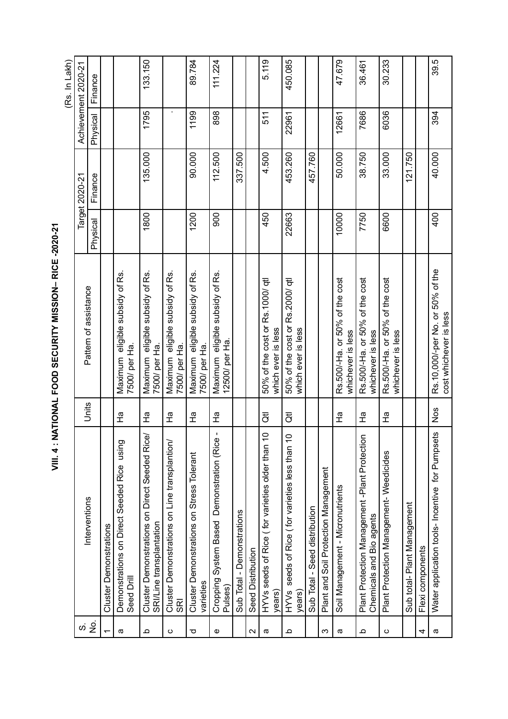VIII. 4 : NATIONAL FOOD SECURITY MISSION-RICE -2020-21 **VIII. 4 : NATIONAL FOOD SECURITY MISSION– RICE -2020-21**

(Rs. In Lakh) (Rs. In Lakh)

|                                                                           |               |                                                            |                       | Target 2020-21 |          | Achievement 2020-21 |  |
|---------------------------------------------------------------------------|---------------|------------------------------------------------------------|-----------------------|----------------|----------|---------------------|--|
|                                                                           |               |                                                            | Physical              | Finance        | Physical | Finance             |  |
| <b>Cluster Demonstrations</b>                                             |               |                                                            |                       |                |          |                     |  |
| Demonstrations on Direct Seeded Rice using<br>Seed Drill                  | 운             | eligible subsidy of Rs.<br>7500/ per Ha.<br>Maximum        |                       |                |          |                     |  |
| Cluster Demonstrations on Direct Seeded Rice/<br>SRI/Line transplantation | 운             | eligible subsidy of Rs.<br>7500/ per Ha<br>Maximum         | 1800                  | 135.000        | 1795     | 133.150             |  |
| Cluster Demonstrations on Line transplantion/<br><b>SRI</b>               | 운             | eligible subsidy of Rs.<br>7500/ per Ha.<br>Maximum        |                       |                |          |                     |  |
| Cluster Demonstrations on Stress Tolerant<br>varieties                    | 운             | eligible subsidy of Rs.<br>7500/ per Ha<br>Maximum         | 1200                  | 90.000         | 1199     | 89.784              |  |
| J.<br>Cropping System Based Demonstration (Rice<br>Pulses)                | 운             | Maximum eligible subsidy of Rs.<br>12500/ per Ha           | 900                   | 112.500        | 898      | 111.224             |  |
| Sub Total - Demonstrations                                                |               |                                                            |                       | 337.500        |          |                     |  |
| Seed Distribution                                                         |               |                                                            |                       |                |          |                     |  |
| $\circ$<br>HYVs seeds of Rice (for varieties older than 1<br>years)       | ਹੋਂ           | 50% of the cost or Rs. 1000/ qt<br>which ever is less      | 450                   | 4.500          | 511      | 5.119               |  |
| seeds of Rice (for varieties less than 1<br>HYV <sub>s</sub><br>years)    | ਹੋਂ           | 50% of the cost or Rs.2000/ qt<br>which ever is less       | 22663                 | 453.260        | 22961    | 450.085             |  |
| Sub Total - Seed distribution                                             |               |                                                            |                       | 457.760        |          |                     |  |
| Plant and Soil Protection Management                                      |               |                                                            |                       |                |          |                     |  |
| Soil Management - Micronutrients                                          | 훈             | Rs.500/-Ha. or 50% of the cost<br>whichever is less        | 10000                 | 50.000         | 12661    | 47.679              |  |
| Plant Protection Management -Plant Protection<br>Chemicals and Bio agents | ?<br>工        | Rs.500/-Ha. or 50% of the cost<br>whichever is less        | 7750                  | 38.750         | 7686     | 36.461              |  |
| Plant Protection Management-Weedicides                                    | 운             | Rs.500/-Ha. or 50% of the cost<br>whichever is less        | 6600                  | 33.000         | 6036     | 30.233              |  |
| Sub total-Plant Management                                                |               |                                                            |                       | 121.750        |          |                     |  |
| Flexi components                                                          |               |                                                            |                       |                |          |                     |  |
| ဖ<br>Water application tools- Incentive for Pumpset                       | Nos           | Rs.10,000/-per No. or 50% of the<br>cost whichever is less | 400                   | 40.000         | 394      | 39.5                |  |
|                                                                           | Interventions | Units                                                      | Pattern of assistance |                |          |                     |  |